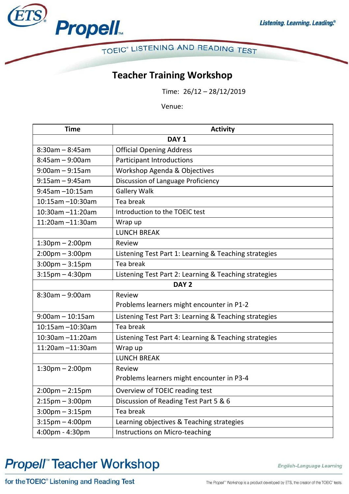

TOEIC<sup>®</sup> LISTENING AND READING TEST

## **Teacher Training Workshop**

Time: 26/12 – 28/12/2019

Venue:

| <b>Time</b>                       | <b>Activity</b>                                       |
|-----------------------------------|-------------------------------------------------------|
| DAY <sub>1</sub>                  |                                                       |
| $8:30$ am - $8:45$ am             | <b>Official Opening Address</b>                       |
| $8:45$ am - 9:00am                | Participant Introductions                             |
| $9:00$ am - $9:15$ am             | Workshop Agenda & Objectives                          |
| $9:15$ am - $9:45$ am             | Discussion of Language Proficiency                    |
| $9:45$ am $-10:15$ am             | <b>Gallery Walk</b>                                   |
| $10:15$ am $-10:30$ am            | Tea break                                             |
| 10:30am -11:20am                  | Introduction to the TOEIC test                        |
| 11:20am -11:30am                  | Wrap up                                               |
|                                   | <b>LUNCH BREAK</b>                                    |
| $1:30$ pm $- 2:00$ pm             | Review                                                |
| $2:00 \text{pm} - 3:00 \text{pm}$ | Listening Test Part 1: Learning & Teaching strategies |
| $3:00$ pm $-3:15$ pm              | Tea break                                             |
| $3:15$ pm $-4:30$ pm              | Listening Test Part 2: Learning & Teaching strategies |
| DAY <sub>2</sub>                  |                                                       |
| $8:30$ am - 9:00am                | <b>Review</b>                                         |
|                                   | Problems learners might encounter in P1-2             |
| $9:00$ am - 10:15am               | Listening Test Part 3: Learning & Teaching strategies |
| 10:15am -10:30am                  | Tea break                                             |
| 10:30am -11:20am                  | Listening Test Part 4: Learning & Teaching strategies |
| 11:20am -11:30am                  | Wrap up                                               |
|                                   | <b>LUNCH BREAK</b>                                    |
| $1:30$ pm $- 2:00$ pm             | Review                                                |
|                                   | Problems learners might encounter in P3-4             |
| $2:00 \text{pm} - 2:15 \text{pm}$ | Overview of TOEIC reading test                        |
| $2:15 \text{pm} - 3:00 \text{pm}$ | Discussion of Reading Test Part 5 & 6                 |
| $3:00$ pm – $3:15$ pm             | Tea break                                             |
| $3:15 \text{pm} - 4:00 \text{pm}$ | Learning objectives & Teaching strategies             |
| 4:00pm - 4:30pm                   | Instructions on Micro-teaching                        |

# **Propell**" Teacher Workshop

English-Language Learning

for the TOEIC<sup>®</sup> Listening and Reading Test